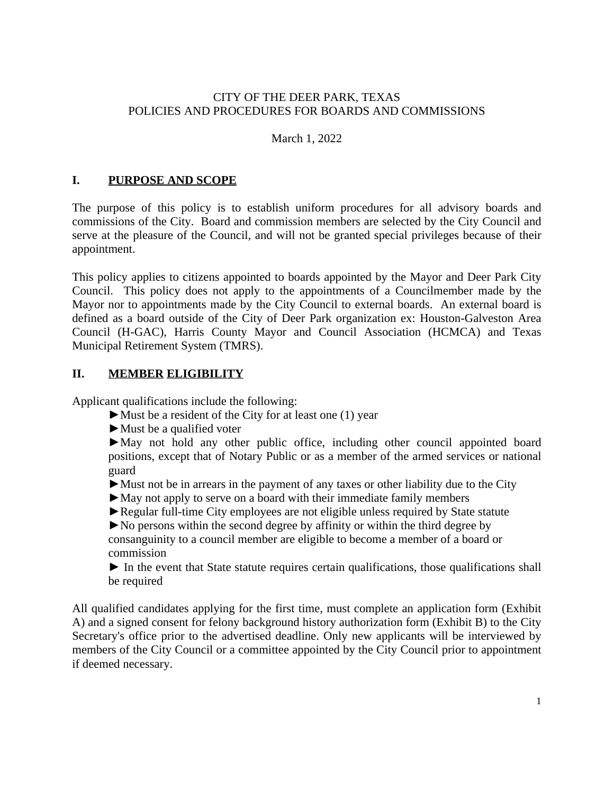### CITY OF THE DEER PARK, TEXAS POLICIES AND PROCEDURES FOR BOARDS AND COMMISSIONS

#### March 1, 2022

### **I. PURPOSE AND SCOPE**

The purpose of this policy is to establish uniform procedures for all advisory boards and commissions of the City. Board and commission members are selected by the City Council and serve at the pleasure of the Council, and will not be granted special privileges because of their appointment.

This policy applies to citizens appointed to boards appointed by the Mayor and Deer Park City Council. This policy does not apply to the appointments of a Councilmember made by the Mayor nor to appointments made by the City Council to external boards. An external board is defined as a board outside of the City of Deer Park organization ex: Houston-Galveston Area Council (H-GAC), Harris County Mayor and Council Association (HCMCA) and Texas Municipal Retirement System (TMRS).

### **II. MEMBER ELIGIBILITY**

Applicant qualifications include the following:

- $\blacktriangleright$  Must be a resident of the City for at least one (1) year
- ►Must be a qualified voter

►May not hold any other public office, including other council appointed board positions, except that of Notary Public or as a member of the armed services or national guard

- ►Must not be in arrears in the payment of any taxes or other liability due to the City
- ►May not apply to serve on a board with their immediate family members
- ►Regular full-time City employees are not eligible unless required by State statute

►No persons within the second degree by affinity or within the third degree by consanguinity to a council member are eligible to become a member of a board or commission

► In the event that State statute requires certain qualifications, those qualifications shall be required

All qualified candidates applying for the first time, must complete an application form (Exhibit A) and a signed consent for felony background history authorization form (Exhibit B) to the City Secretary's office prior to the advertised deadline. Only new applicants will be interviewed by members of the City Council or a committee appointed by the City Council prior to appointment if deemed necessary.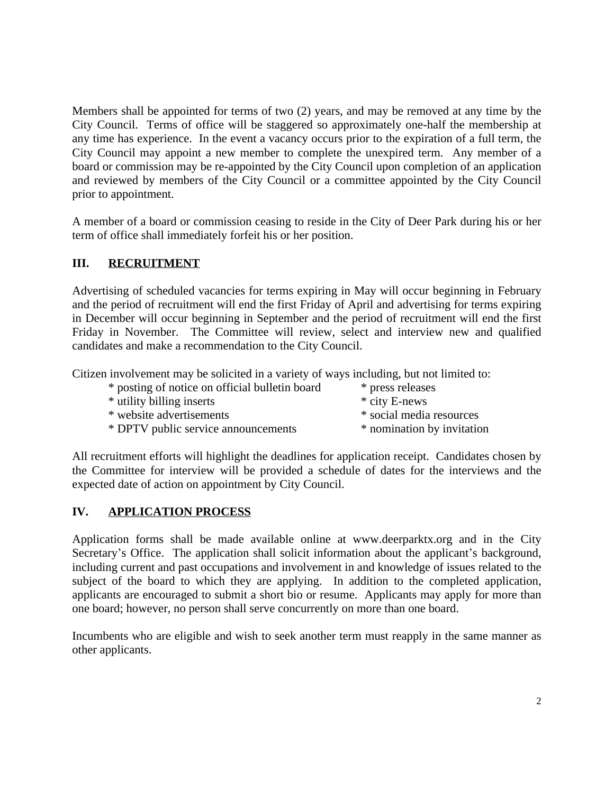Members shall be appointed for terms of two (2) years, and may be removed at any time by the City Council. Terms of office will be staggered so approximately one-half the membership at any time has experience. In the event a vacancy occurs prior to the expiration of a full term, the City Council may appoint a new member to complete the unexpired term. Any member of a board or commission may be re-appointed by the City Council upon completion of an application and reviewed by members of the City Council or a committee appointed by the City Council prior to appointment.

A member of a board or commission ceasing to reside in the City of Deer Park during his or her term of office shall immediately forfeit his or her position.

## **III. RECRUITMENT**

Advertising of scheduled vacancies for terms expiring in May will occur beginning in February and the period of recruitment will end the first Friday of April and advertising for terms expiring in December will occur beginning in September and the period of recruitment will end the first Friday in November. The Committee will review, select and interview new and qualified candidates and make a recommendation to the City Council.

Citizen involvement may be solicited in a variety of ways including, but not limited to:

\* posting of notice on official bulletin board \* press releases \* utility billing inserts \* city E-news \* website advertisements \* social media resources \* DPTV public service announcements \* nomination by invitation

All recruitment efforts will highlight the deadlines for application receipt. Candidates chosen by the Committee for interview will be provided a schedule of dates for the interviews and the expected date of action on appointment by City Council.

## **IV. APPLICATION PROCESS**

Application forms shall be made available online at www.deerparktx.org and in the City Secretary's Office. The application shall solicit information about the applicant's background, including current and past occupations and involvement in and knowledge of issues related to the subject of the board to which they are applying. In addition to the completed application, applicants are encouraged to submit a short bio or resume. Applicants may apply for more than one board; however, no person shall serve concurrently on more than one board.

Incumbents who are eligible and wish to seek another term must reapply in the same manner as other applicants.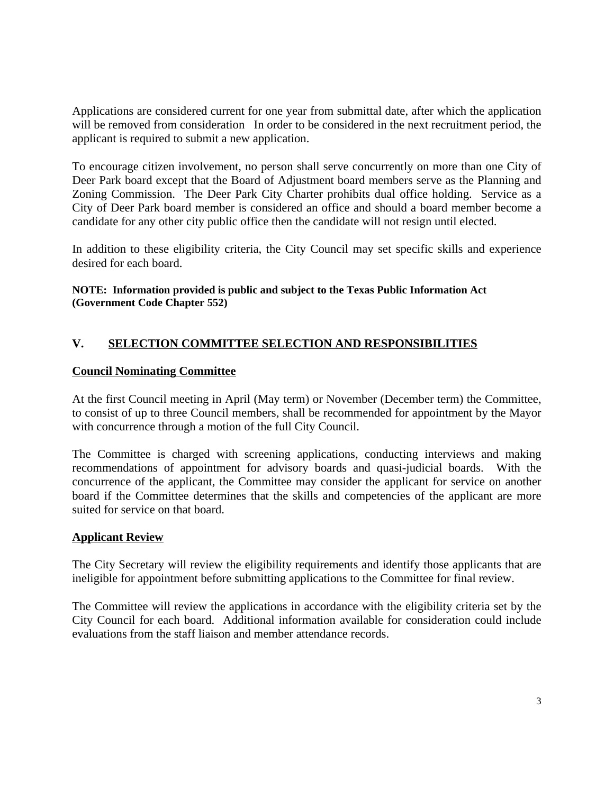Applications are considered current for one year from submittal date, after which the application will be removed from consideration In order to be considered in the next recruitment period, the applicant is required to submit a new application.

To encourage citizen involvement, no person shall serve concurrently on more than one City of Deer Park board except that the Board of Adjustment board members serve as the Planning and Zoning Commission. The Deer Park City Charter prohibits dual office holding. Service as a City of Deer Park board member is considered an office and should a board member become a candidate for any other city public office then the candidate will not resign until elected.

In addition to these eligibility criteria, the City Council may set specific skills and experience desired for each board.

#### **NOTE: Information provided is public and subject to the Texas Public Information Act (Government Code Chapter 552)**

## **V. SELECTION COMMITTEE SELECTION AND RESPONSIBILITIES**

### **Council Nominating Committee**

At the first Council meeting in April (May term) or November (December term) the Committee, to consist of up to three Council members, shall be recommended for appointment by the Mayor with concurrence through a motion of the full City Council.

The Committee is charged with screening applications, conducting interviews and making recommendations of appointment for advisory boards and quasi-judicial boards. With the concurrence of the applicant, the Committee may consider the applicant for service on another board if the Committee determines that the skills and competencies of the applicant are more suited for service on that board.

#### **Applicant Review**

The City Secretary will review the eligibility requirements and identify those applicants that are ineligible for appointment before submitting applications to the Committee for final review.

The Committee will review the applications in accordance with the eligibility criteria set by the City Council for each board. Additional information available for consideration could include evaluations from the staff liaison and member attendance records.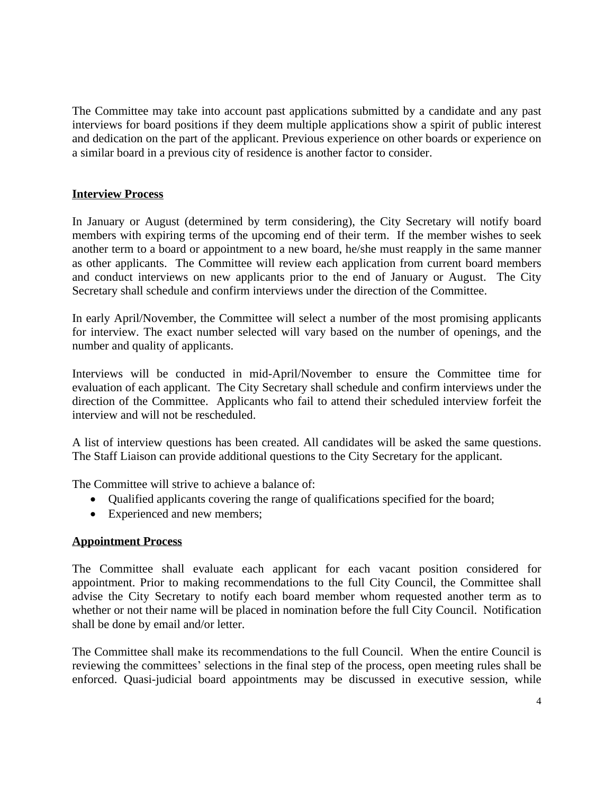The Committee may take into account past applications submitted by a candidate and any past interviews for board positions if they deem multiple applications show a spirit of public interest and dedication on the part of the applicant. Previous experience on other boards or experience on a similar board in a previous city of residence is another factor to consider.

### **Interview Process**

In January or August (determined by term considering), the City Secretary will notify board members with expiring terms of the upcoming end of their term. If the member wishes to seek another term to a board or appointment to a new board, he/she must reapply in the same manner as other applicants. The Committee will review each application from current board members and conduct interviews on new applicants prior to the end of January or August. The City Secretary shall schedule and confirm interviews under the direction of the Committee.

In early April/November, the Committee will select a number of the most promising applicants for interview. The exact number selected will vary based on the number of openings, and the number and quality of applicants.

Interviews will be conducted in mid-April/November to ensure the Committee time for evaluation of each applicant. The City Secretary shall schedule and confirm interviews under the direction of the Committee. Applicants who fail to attend their scheduled interview forfeit the interview and will not be rescheduled.

A list of interview questions has been created. All candidates will be asked the same questions. The Staff Liaison can provide additional questions to the City Secretary for the applicant.

The Committee will strive to achieve a balance of:

- Qualified applicants covering the range of qualifications specified for the board;
- Experienced and new members;

#### **Appointment Process**

The Committee shall evaluate each applicant for each vacant position considered for appointment. Prior to making recommendations to the full City Council, the Committee shall advise the City Secretary to notify each board member whom requested another term as to whether or not their name will be placed in nomination before the full City Council. Notification shall be done by email and/or letter.

The Committee shall make its recommendations to the full Council. When the entire Council is reviewing the committees' selections in the final step of the process, open meeting rules shall be enforced. Quasi-judicial board appointments may be discussed in executive session, while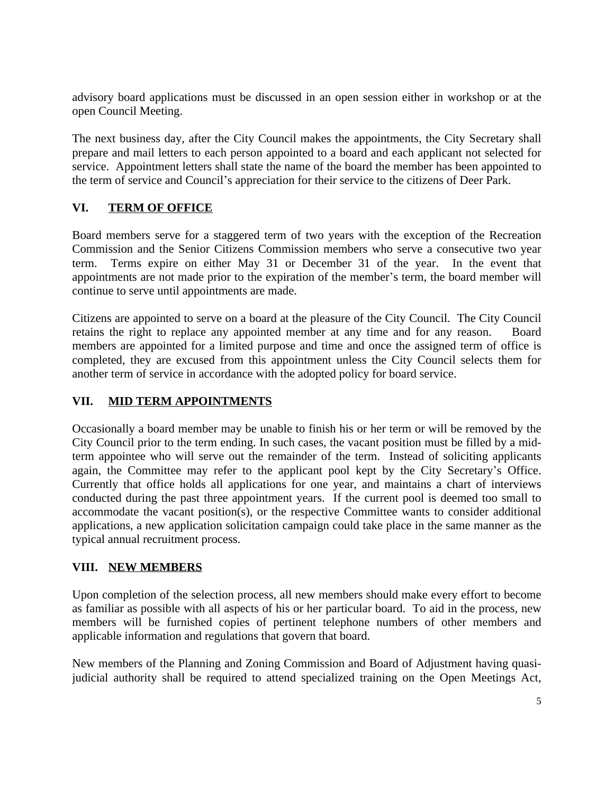advisory board applications must be discussed in an open session either in workshop or at the open Council Meeting.

The next business day, after the City Council makes the appointments, the City Secretary shall prepare and mail letters to each person appointed to a board and each applicant not selected for service. Appointment letters shall state the name of the board the member has been appointed to the term of service and Council's appreciation for their service to the citizens of Deer Park.

## **VI. TERM OF OFFICE**

Board members serve for a staggered term of two years with the exception of the Recreation Commission and the Senior Citizens Commission members who serve a consecutive two year term. Terms expire on either May 31 or December 31 of the year. In the event that appointments are not made prior to the expiration of the member's term, the board member will continue to serve until appointments are made.

Citizens are appointed to serve on a board at the pleasure of the City Council. The City Council retains the right to replace any appointed member at any time and for any reason. Board members are appointed for a limited purpose and time and once the assigned term of office is completed, they are excused from this appointment unless the City Council selects them for another term of service in accordance with the adopted policy for board service.

### **VII. MID TERM APPOINTMENTS**

Occasionally a board member may be unable to finish his or her term or will be removed by the City Council prior to the term ending. In such cases, the vacant position must be filled by a midterm appointee who will serve out the remainder of the term. Instead of soliciting applicants again, the Committee may refer to the applicant pool kept by the City Secretary's Office. Currently that office holds all applications for one year, and maintains a chart of interviews conducted during the past three appointment years. If the current pool is deemed too small to accommodate the vacant position(s), or the respective Committee wants to consider additional applications, a new application solicitation campaign could take place in the same manner as the typical annual recruitment process.

## **VIII. NEW MEMBERS**

Upon completion of the selection process, all new members should make every effort to become as familiar as possible with all aspects of his or her particular board. To aid in the process, new members will be furnished copies of pertinent telephone numbers of other members and applicable information and regulations that govern that board.

New members of the Planning and Zoning Commission and Board of Adjustment having quasijudicial authority shall be required to attend specialized training on the Open Meetings Act,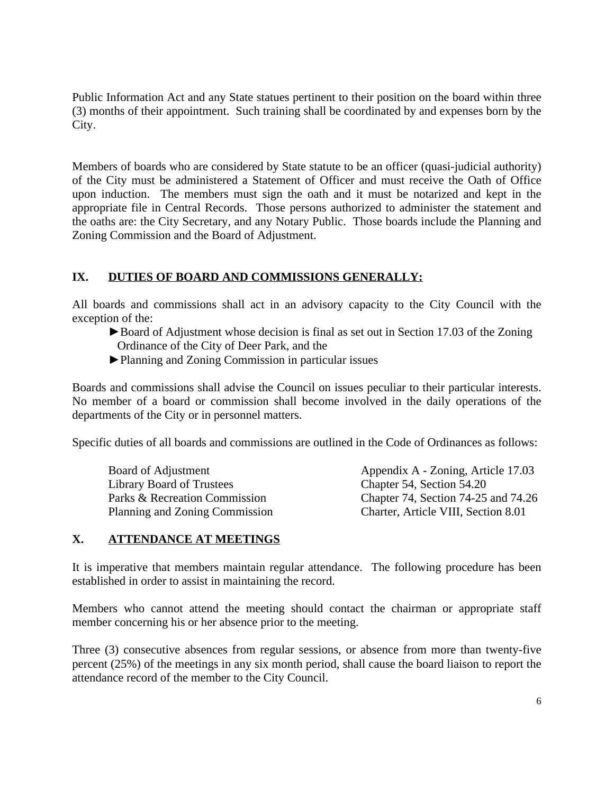Public Information Act and any State statues pertinent to their position on the board within three (3) months of their appointment. Such training shall be coordinated by and expenses born by the City.

Members of boards who are considered by State statute to be an officer (quasi-judicial authority) of the City must be administered a Statement of Officer and must receive the Oath of Office upon induction. The members must sign the oath and it must be notarized and kept in the appropriate file in Central Records. Those persons authorized to administer the statement and the oaths are: the City Secretary, and any Notary Public. Those boards include the Planning and Zoning Commission and the Board of Adjustment.

## **IX. DUTIES OF BOARD AND COMMISSIONS GENERALLY:**

All boards and commissions shall act in an advisory capacity to the City Council with the exception of the:

- ►Board of Adjustment whose decision is final as set out in Section 17.03 of the Zoning Ordinance of the City of Deer Park, and the
- ►Planning and Zoning Commission in particular issues

Boards and commissions shall advise the Council on issues peculiar to their particular interests. No member of a board or commission shall become involved in the daily operations of the departments of the City or in personnel matters.

Specific duties of all boards and commissions are outlined in the Code of Ordinances as follows:

Board of Adjustment Appendix A - Zoning, Article 17.03 Library Board of Trustees Chapter 54, Section 54.20 Parks & Recreation Commission Chapter 74, Section 74-25 and 74.26 Planning and Zoning Commission Charter, Article VIII, Section 8.01

## **X. ATTENDANCE AT MEETINGS**

It is imperative that members maintain regular attendance. The following procedure has been established in order to assist in maintaining the record.

Members who cannot attend the meeting should contact the chairman or appropriate staff member concerning his or her absence prior to the meeting.

Three (3) consecutive absences from regular sessions, or absence from more than twenty-five percent (25%) of the meetings in any six month period, shall cause the board liaison to report the attendance record of the member to the City Council.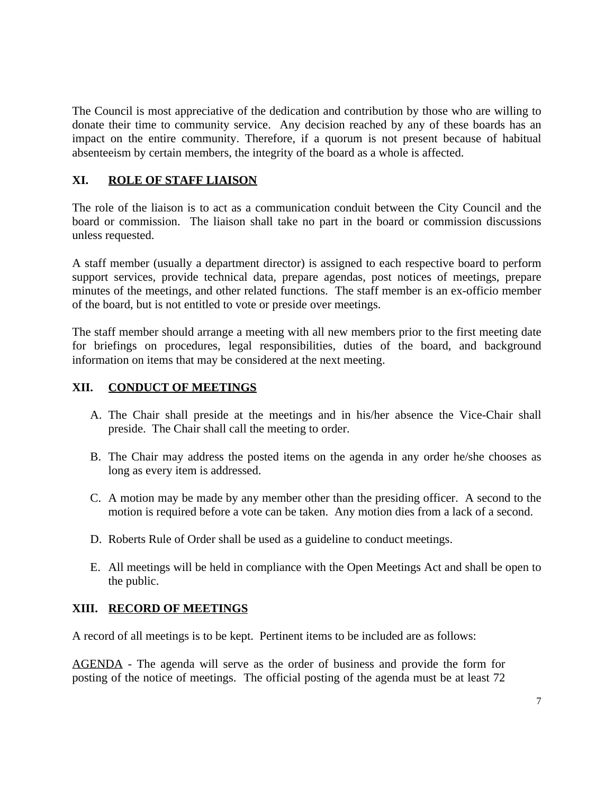The Council is most appreciative of the dedication and contribution by those who are willing to donate their time to community service. Any decision reached by any of these boards has an impact on the entire community. Therefore, if a quorum is not present because of habitual absenteeism by certain members, the integrity of the board as a whole is affected.

## **XI. ROLE OF STAFF LIAISON**

The role of the liaison is to act as a communication conduit between the City Council and the board or commission. The liaison shall take no part in the board or commission discussions unless requested.

A staff member (usually a department director) is assigned to each respective board to perform support services, provide technical data, prepare agendas, post notices of meetings, prepare minutes of the meetings, and other related functions. The staff member is an ex-officio member of the board, but is not entitled to vote or preside over meetings.

The staff member should arrange a meeting with all new members prior to the first meeting date for briefings on procedures, legal responsibilities, duties of the board, and background information on items that may be considered at the next meeting.

### **XII. CONDUCT OF MEETINGS**

- A. The Chair shall preside at the meetings and in his/her absence the Vice-Chair shall preside. The Chair shall call the meeting to order.
- B. The Chair may address the posted items on the agenda in any order he/she chooses as long as every item is addressed.
- C. A motion may be made by any member other than the presiding officer. A second to the motion is required before a vote can be taken. Any motion dies from a lack of a second.
- D. Roberts Rule of Order shall be used as a guideline to conduct meetings.
- E. All meetings will be held in compliance with the Open Meetings Act and shall be open to the public.

## **XIII. RECORD OF MEETINGS**

A record of all meetings is to be kept. Pertinent items to be included are as follows:

AGENDA - The agenda will serve as the order of business and provide the form for posting of the notice of meetings. The official posting of the agenda must be at least 72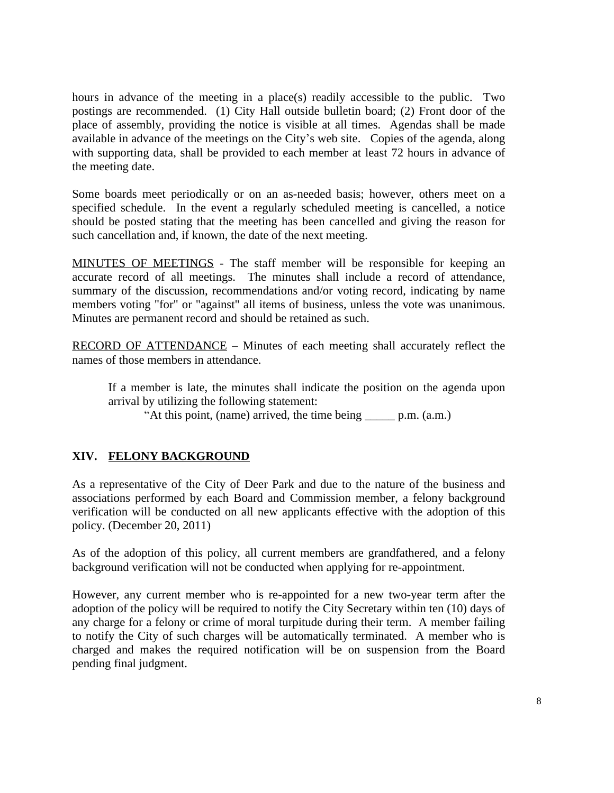hours in advance of the meeting in a place(s) readily accessible to the public. Two postings are recommended. (1) City Hall outside bulletin board; (2) Front door of the place of assembly, providing the notice is visible at all times. Agendas shall be made available in advance of the meetings on the City's web site. Copies of the agenda, along with supporting data, shall be provided to each member at least 72 hours in advance of the meeting date.

Some boards meet periodically or on an as-needed basis; however, others meet on a specified schedule. In the event a regularly scheduled meeting is cancelled, a notice should be posted stating that the meeting has been cancelled and giving the reason for such cancellation and, if known, the date of the next meeting.

MINUTES OF MEETINGS - The staff member will be responsible for keeping an accurate record of all meetings. The minutes shall include a record of attendance, summary of the discussion, recommendations and/or voting record, indicating by name members voting "for" or "against" all items of business, unless the vote was unanimous. Minutes are permanent record and should be retained as such.

RECORD OF ATTENDANCE - Minutes of each meeting shall accurately reflect the names of those members in attendance.

If a member is late, the minutes shall indicate the position on the agenda upon arrival by utilizing the following statement:

"At this point, (name) arrived, the time being \_\_\_\_\_ p.m. (a.m.)

## **XIV. FELONY BACKGROUND**

As a representative of the City of Deer Park and due to the nature of the business and associations performed by each Board and Commission member, a felony background verification will be conducted on all new applicants effective with the adoption of this policy. (December 20, 2011)

As of the adoption of this policy, all current members are grandfathered, and a felony background verification will not be conducted when applying for re-appointment.

However, any current member who is re-appointed for a new two-year term after the adoption of the policy will be required to notify the City Secretary within ten (10) days of any charge for a felony or crime of moral turpitude during their term. A member failing to notify the City of such charges will be automatically terminated. A member who is charged and makes the required notification will be on suspension from the Board pending final judgment.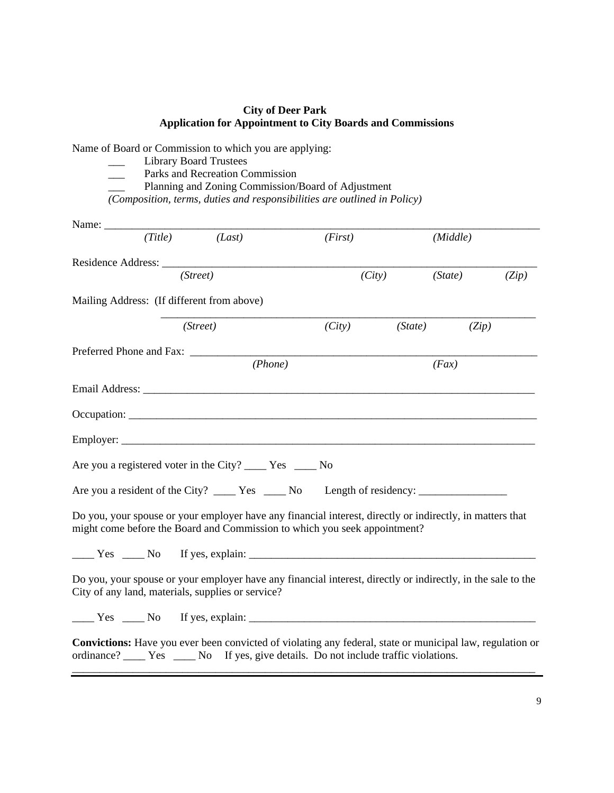#### **City of Deer Park Application for Appointment to City Boards and Commissions**

|                                            | Name of Board or Commission to which you are applying:<br><b>Library Board Trustees</b>                                                                                                                |         |         |          |       |
|--------------------------------------------|--------------------------------------------------------------------------------------------------------------------------------------------------------------------------------------------------------|---------|---------|----------|-------|
|                                            | Parks and Recreation Commission<br>Planning and Zoning Commission/Board of Adjustment                                                                                                                  |         |         |          |       |
|                                            | (Composition, terms, duties and responsibilities are outlined in Policy)                                                                                                                               |         |         |          |       |
|                                            |                                                                                                                                                                                                        |         |         |          |       |
|                                            | $(Title)$ $(Last)$                                                                                                                                                                                     | (First) |         | (Middle) |       |
|                                            |                                                                                                                                                                                                        |         |         |          |       |
|                                            | (Street)                                                                                                                                                                                               |         | (City)  | (State)  | (Zip) |
| Mailing Address: (If different from above) |                                                                                                                                                                                                        |         |         |          |       |
|                                            | (Street)                                                                                                                                                                                               | (City)  | (State) | (Zip)    |       |
|                                            |                                                                                                                                                                                                        |         |         |          |       |
|                                            | (Phone)                                                                                                                                                                                                |         |         | (Fax)    |       |
|                                            |                                                                                                                                                                                                        |         |         |          |       |
|                                            |                                                                                                                                                                                                        |         |         |          |       |
|                                            |                                                                                                                                                                                                        |         |         |          |       |
|                                            | Are you a registered voter in the City? _______ Yes ______ No                                                                                                                                          |         |         |          |       |
|                                            |                                                                                                                                                                                                        |         |         |          |       |
|                                            | Do you, your spouse or your employer have any financial interest, directly or indirectly, in matters that<br>might come before the Board and Commission to which you seek appointment?                 |         |         |          |       |
|                                            | $\frac{1}{1}$ Yes $\frac{1}{1}$ No If yes, explain: $\frac{1}{1}$                                                                                                                                      |         |         |          |       |
|                                            | Do you, your spouse or your employer have any financial interest, directly or indirectly, in the sale to the<br>City of any land, materials, supplies or service?                                      |         |         |          |       |
|                                            | $\frac{1}{1}$ Yes $\frac{1}{1}$ No If yes, explain:                                                                                                                                                    |         |         |          |       |
|                                            | <b>Convictions:</b> Have you ever been convicted of violating any federal, state or municipal law, regulation or<br>ordinance? Wes Western Mo If yes, give details. Do not include traffic violations. |         |         |          |       |
|                                            |                                                                                                                                                                                                        |         |         |          |       |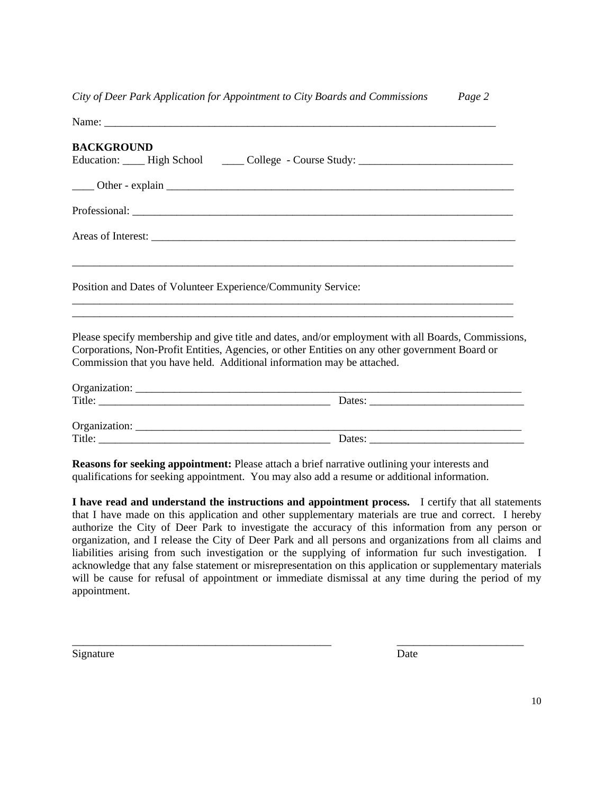*City of Deer Park Application for Appointment to City Boards and Commissions Page 2*

| <b>BACKGROUND</b>                                                                                                                                                                                                                                                                |  |
|----------------------------------------------------------------------------------------------------------------------------------------------------------------------------------------------------------------------------------------------------------------------------------|--|
| Education: ____ High School ______ College - Course Study: ______________________                                                                                                                                                                                                |  |
|                                                                                                                                                                                                                                                                                  |  |
|                                                                                                                                                                                                                                                                                  |  |
|                                                                                                                                                                                                                                                                                  |  |
| Position and Dates of Volunteer Experience/Community Service:<br><u> 1989 - Jan Barnett, fransk politik (d. 1989)</u>                                                                                                                                                            |  |
| Please specify membership and give title and dates, and/or employment with all Boards, Commissions,<br>Corporations, Non-Profit Entities, Agencies, or other Entities on any other government Board or<br>Commission that you have held. Additional information may be attached. |  |
|                                                                                                                                                                                                                                                                                  |  |
|                                                                                                                                                                                                                                                                                  |  |
|                                                                                                                                                                                                                                                                                  |  |
|                                                                                                                                                                                                                                                                                  |  |
| <b>Reasons for seeking appointment:</b> Please attach a brief narrative outlining your interests and<br>qualifications for seeking appointment. You may also add a resume or additional information.                                                                             |  |

**I have read and understand the instructions and appointment process.** I certify that all statements that I have made on this application and other supplementary materials are true and correct. I hereby authorize the City of Deer Park to investigate the accuracy of this information from any person or organization, and I release the City of Deer Park and all persons and organizations from all claims and liabilities arising from such investigation or the supplying of information fur such investigation. I acknowledge that any false statement or misrepresentation on this application or supplementary materials will be cause for refusal of appointment or immediate dismissal at any time during the period of my appointment.

\_\_\_\_\_\_\_\_\_\_\_\_\_\_\_\_\_\_\_\_\_\_\_\_\_\_\_\_\_\_\_\_\_\_\_\_\_\_\_\_\_\_\_\_\_\_\_ \_\_\_\_\_\_\_\_\_\_\_\_\_\_\_\_\_\_\_\_\_\_\_

Signature Date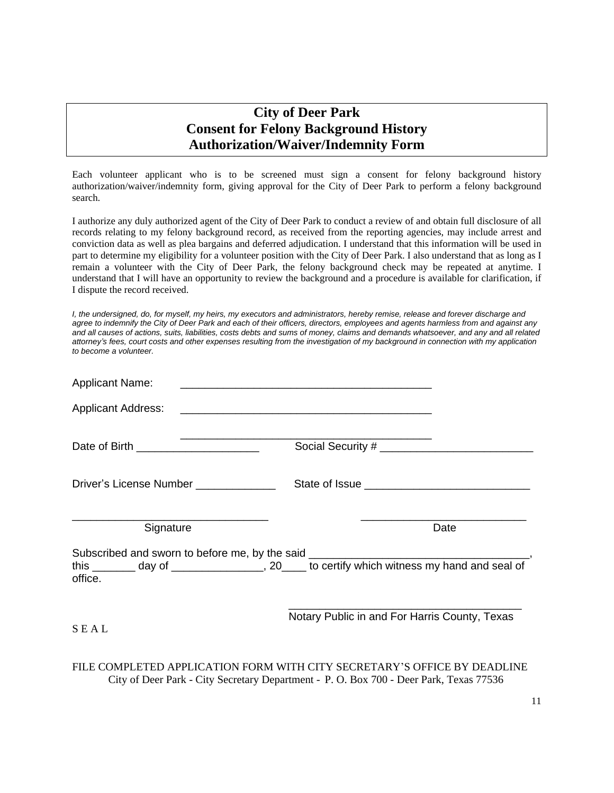# **City of Deer Park Consent for Felony Background History Authorization/Waiver/Indemnity Form**

Each volunteer applicant who is to be screened must sign a consent for felony background history authorization/waiver/indemnity form, giving approval for the City of Deer Park to perform a felony background search.

I authorize any duly authorized agent of the City of Deer Park to conduct a review of and obtain full disclosure of all records relating to my felony background record, as received from the reporting agencies, may include arrest and conviction data as well as plea bargains and deferred adjudication. I understand that this information will be used in part to determine my eligibility for a volunteer position with the City of Deer Park. I also understand that as long as I remain a volunteer with the City of Deer Park, the felony background check may be repeated at anytime. I understand that I will have an opportunity to review the background and a procedure is available for clarification, if I dispute the record received.

*I, the undersigned, do, for myself, my heirs, my executors and administrators, hereby remise, release and forever discharge and agree to indemnify the City of Deer Park and each of their officers, directors, employees and agents harmless from and against any and all causes of actions, suits, liabilities, costs debts and sums of money, claims and demands whatsoever, and any and all related attorney's fees, court costs and other expenses resulting from the investigation of my background in connection with my application to become a volunteer.*

| <b>Applicant Name:</b>                 |                                                                                                                                                                                 |      |
|----------------------------------------|---------------------------------------------------------------------------------------------------------------------------------------------------------------------------------|------|
|                                        |                                                                                                                                                                                 |      |
| Date of Birth _______________________  | Social Security #                                                                                                                                                               |      |
| Driver's License Number ______________ |                                                                                                                                                                                 |      |
| Signature                              |                                                                                                                                                                                 | Date |
| office.                                | Subscribed and sworn to before me, by the said _________________________________<br>this ________ day of _________________, 20____ to certify which witness my hand and seal of |      |
| SEAL                                   | Notary Public in and For Harris County, Texas                                                                                                                                   |      |
|                                        | FILE COMPLETED APPLICATION FORM WITH CITY SECRETARY'S OFFICE BY DEADLINE                                                                                                        |      |

City of Deer Park - City Secretary Department - P. O. Box 700 - Deer Park, Texas 77536